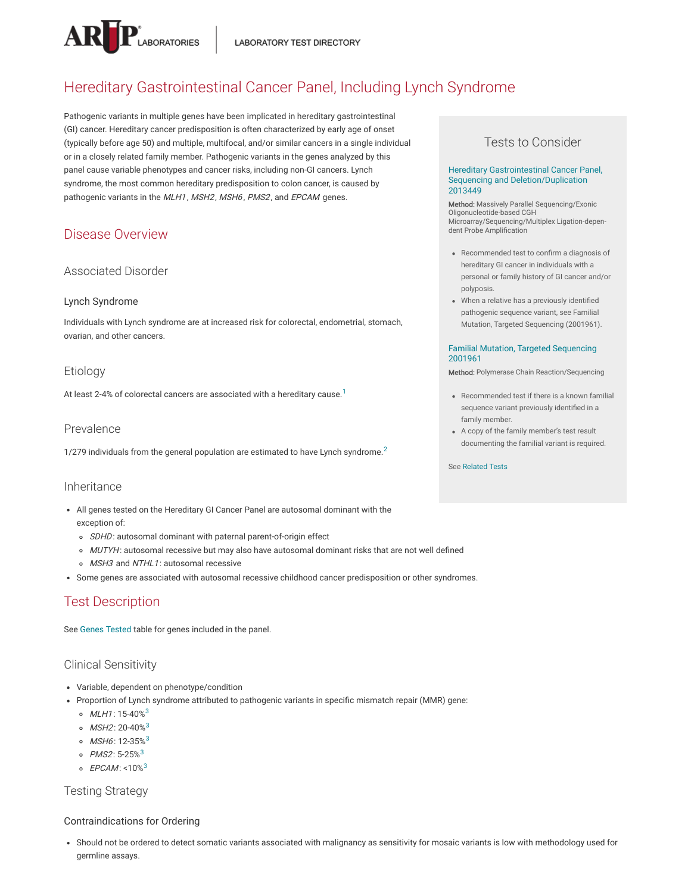

# Hereditary Gastrointestinal Cancer Panel, Including Lynch Syndrome

Pathogenic variants in multiple genes have been implicated in hereditary gastrointestinal (GI) cancer. Hereditary cancer predisposition is often characterized by early age of onset (typically before age 50) and multiple, multifocal, and/or similar cancers in a single individual or in a closely related family member. Pathogenic variants in the genes analyzed by this panel cause variable phenotypes and cancer risks, including non-GI cancers. Lynch syndrome, the most common hereditary predisposition to colon cancer, is caused by pathogenic variants in the MLH1, MSH2, MSH6, PMS2, and EPCAM genes.

## Disease Overview

### Associated Disorder

#### Lynch Syndrome

Individuals with Lynch syndrome are at increased risk for colorectal, endometrial, stomach, ovarian, and other cancers.

### Etiology

At least 2-4% of colorectal cancers are associated with a hereditary cause. $^{\rm 1}$  $^{\rm 1}$  $^{\rm 1}$ 

#### Prevalence

1/[2](#page-3-1)79 individuals from the general population are estimated to have Lynch syndrome.<sup>2</sup>

#### Inheritance

- All genes tested on the Hereditary GI Cancer Panel are autosomal dominant with the exception of:
	- o SDHD: autosomal dominant with paternal parent-of-origin effect
	- o MUTYH: autosomal recessive but may also have autosomal dominant risks that are not well defined
	- o MSH3 and NTHL1: autosomal recessive
- Some genes are associated with autosomal recessive childhood cancer predisposition or other syndromes.

## Test Description

See Genes [Tested](#page-1-0) table for genes included in the panel.

#### Clinical Sensitivity

- Variable, dependent on phenotype/condition
- Proportion of Lynch syndrome attributed to pathogenic variants in specific mismatch repair (MMR) gene:
	- $MLH1$ : 15-40% $^3$  $^3$
	- MSH2: 20-40%<sup>[3](#page-3-2)</sup>
	- MSH6: 12-[3](#page-3-2)5%<sup>3</sup>
	- PMS2: 5-25%<sup>[3](#page-3-2)</sup>
	- EPCAM: < $10\%$ <sup>[3](#page-3-2)</sup>

Testing Strategy

#### Contraindications for Ordering

Should not be ordered to detect somatic variants associated with malignancy as sensitivity for mosaic variants is low with methodology used for germline assays.

### Tests to Consider

#### Hereditary Gastrointestinal Cancer Panel, Sequencing and [Deletion/Duplication](https://ltd.aruplab.com/Tests/Pub/2013449) 2013449

**Method:** Massively Parallel Sequencing/Exonic<br>Oligonucleotide-based CGH Microarray/Sequencing/Multiplex Ligation-dependent Probe Amplification

- Recommended test to confirm a diagnosis of hereditary GI cancer in individuals with a personal or family history of GI cancer and/or polyposis.
- When a relative has a previously identified pathogenic sequence variant, see Familial Mutation, Targeted Sequencing (2001961).

#### Familial Mutation, Targeted [Sequencing](https://ltd.aruplab.com/Tests/Pub/2001961) 2001961

Method: Polymerase Chain Reaction/Sequencing

- Recommended test if there is a known familial sequence variant previously identified in a family member.
- A copy of the family member's test result documenting the familial variant is required.

See [Related](#page-4-0) Tests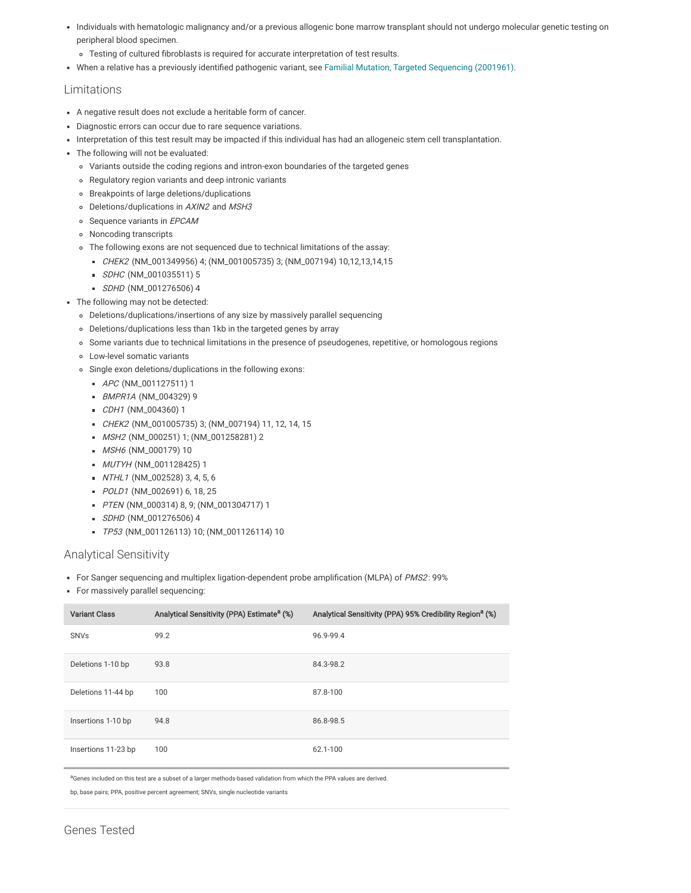- Individuals with hematologic malignancy and/or a previous allogenic bone marrow transplant should not undergo molecular genetic testing on peripheral blood specimen.
	- Testing of cultured fibroblasts is required for accurate interpretation of test results.
- When a relative has a previously identified pathogenic variant, see Familial Mutation, Targeted [Sequencing](http://ltd.aruplab.com/Tests/Pub/2001961) (2001961).

#### Limitations

- A negative result does not exclude a heritable form of cancer.
- Diagnostic errors can occur due to rare sequence variations.
- Interpretation of this test result may be impacted if this individual has had an allogeneic stem cell transplantation.
- The following will not be evaluated:
	- Variants outside the coding regions and intron-exon boundaries of the targeted genes
	- Regulatory region variants and deep intronic variants
	- Breakpoints of large deletions/duplications
	- o Deletions/duplications in AXIN2 and MSH3
	- o Sequence variants in EPCAM
	- Noncoding transcripts
	- The following exons are not sequenced due to technical limitations of the assay:
		- CHEK2 (NM\_001349956) 4; (NM\_001005735) 3; (NM\_007194) 10,12,13,14,15
		- SDHC (NM\_001035511) 5
		- SDHD (NM\_001276506) 4
- The following may not be detected:
	- Deletions/duplications/insertions of any size by massively parallel sequencing
	- Deletions/duplications less than 1kb in the targeted genes by array
	- Some variants due to technical limitations in the presence of pseudogenes, repetitive, or homologous regions
	- Low-level somatic variants
	- Single exon deletions/duplications in the following exons:
		- APC (NM\_001127511) 1
		- BMPR1A (NM\_004329) 9
		- CDH1 (NM\_004360) 1
		- CHEK2 (NM\_001005735) 3; (NM\_007194) 11, 12, 14, 15
		- MSH2 (NM\_000251) 1; (NM\_001258281) 2
		- MSH6 (NM\_000179) 10
		- **MUTYH (NM\_001128425) 1**
		- NTHL1 (NM\_002528) 3, 4, 5, 6
		- POLD1 (NM\_002691) 6, 18, 25
		- PTEN (NM\_000314) 8, 9; (NM\_001304717) 1
	- SDHD (NM\_001276506) 4
		- TP53 (NM\_001126113) 10; (NM\_001126114) 10

#### Analytical Sensitivity

- For Sanger sequencing and multiplex ligation-dependent probe amplification (MLPA) of PMS2: 99%
- For massively parallel sequencing:

| <b>Variant Class</b> | Analytical Sensitivity (PPA) Estimate <sup>a</sup> (%) | Analytical Sensitivity (PPA) 95% Credibility Region <sup>a</sup> (%) |
|----------------------|--------------------------------------------------------|----------------------------------------------------------------------|
| <b>SNVs</b>          | 99.2                                                   | 96.9-99.4                                                            |
| Deletions 1-10 bp    | 93.8                                                   | 84.3-98.2                                                            |
| Deletions 11-44 bp   | 100                                                    | 87.8-100                                                             |
| Insertions 1-10 bp   | 94.8                                                   | 86.8-98.5                                                            |
| Insertions 11-23 bp  | 100                                                    | 62.1-100                                                             |

aGenes included on this test are a subset of a larger methods-based validation from which the PPA values are derived.

<span id="page-1-0"></span>bp, base pairs; PPA, positive percent agreement; SNVs, single nucleotide variants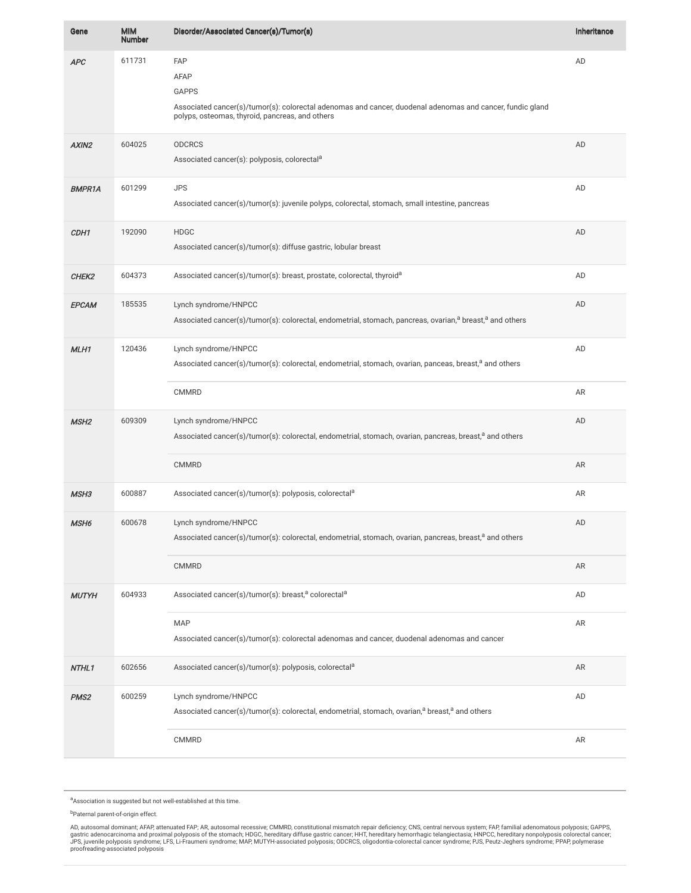| Gene             | <b>MIM</b><br><b>Number</b> | Disorder/Associated Cancer(s)/Tumor(s)                                                                                                                                                             | Inheritance |
|------------------|-----------------------------|----------------------------------------------------------------------------------------------------------------------------------------------------------------------------------------------------|-------------|
| <b>APC</b>       | 611731                      | <b>FAP</b><br>AFAP<br><b>GAPPS</b><br>Associated cancer(s)/tumor(s): colorectal adenomas and cancer, duodenal adenomas and cancer, fundic gland<br>polyps, osteomas, thyroid, pancreas, and others | AD          |
| AXIN2            | 604025                      | <b>ODCRCS</b><br>Associated cancer(s): polyposis, colorectal <sup>a</sup>                                                                                                                          | AD          |
| <b>BMPR1A</b>    | 601299                      | <b>JPS</b><br>Associated cancer(s)/tumor(s): juvenile polyps, colorectal, stomach, small intestine, pancreas                                                                                       | AD          |
| CDH1             | 192090                      | <b>HDGC</b><br>Associated cancer(s)/tumor(s): diffuse gastric, lobular breast                                                                                                                      | AD          |
| CHEK2            | 604373                      | Associated cancer(s)/tumor(s): breast, prostate, colorectal, thyroid <sup>a</sup>                                                                                                                  | AD          |
| EPCAM            | 185535                      | Lynch syndrome/HNPCC<br>Associated cancer(s)/tumor(s): colorectal, endometrial, stomach, pancreas, ovarian, <sup>a</sup> breast, <sup>a</sup> and others                                           | AD          |
| MLH1             | 120436                      | Lynch syndrome/HNPCC<br>Associated cancer(s)/tumor(s): colorectal, endometrial, stomach, ovarian, panceas, breast, <sup>a</sup> and others                                                         | AD          |
|                  |                             | <b>CMMRD</b>                                                                                                                                                                                       | AR          |
| MSH <sub>2</sub> | 609309                      | Lynch syndrome/HNPCC<br>Associated cancer(s)/tumor(s): colorectal, endometrial, stomach, ovarian, pancreas, breast, <sup>a</sup> and others                                                        | AD          |
|                  |                             | <b>CMMRD</b>                                                                                                                                                                                       | AR          |
| MSH3             | 600887                      | Associated cancer(s)/tumor(s): polyposis, colorectal <sup>a</sup>                                                                                                                                  | AR          |
| MSH <sub>6</sub> | 600678                      | Lynch syndrome/HNPCC<br>Associated cancer(s)/tumor(s): colorectal, endometrial, stomach, ovarian, pancreas, breast, <sup>a</sup> and others                                                        | AD          |
|                  |                             | <b>CMMRD</b>                                                                                                                                                                                       | AR          |
| <b>MUTYH</b>     | 604933                      | Associated cancer(s)/tumor(s): breast, <sup>a</sup> colorectal <sup>a</sup>                                                                                                                        | AD          |
|                  |                             | <b>MAP</b><br>Associated cancer(s)/tumor(s): colorectal adenomas and cancer, duodenal adenomas and cancer                                                                                          | AR          |
| NTHL1            | 602656                      | Associated cancer(s)/tumor(s): polyposis, colorectal <sup>a</sup>                                                                                                                                  | AR          |
| PMS <sub>2</sub> | 600259                      | Lynch syndrome/HNPCC<br>Associated cancer(s)/tumor(s): colorectal, endometrial, stomach, ovarian, <sup>a</sup> breast, <sup>a</sup> and others                                                     | AD          |
|                  |                             | CMMRD                                                                                                                                                                                              | AR          |
|                  |                             |                                                                                                                                                                                                    |             |

<sup>a</sup> Association is suggested but not well-established at this time.

<sup>b</sup>Paternal parent-of-origin effect.

AD, autosomal dominant; AFAP, attenuated FAP; AR, autosomal recessive; CMMRD, constitutional mismatch repair deficiency; CNS, central nervous system; FAP, familial adenomatous polyposis; GAPPS,<br>gastric adenocarcinoma and p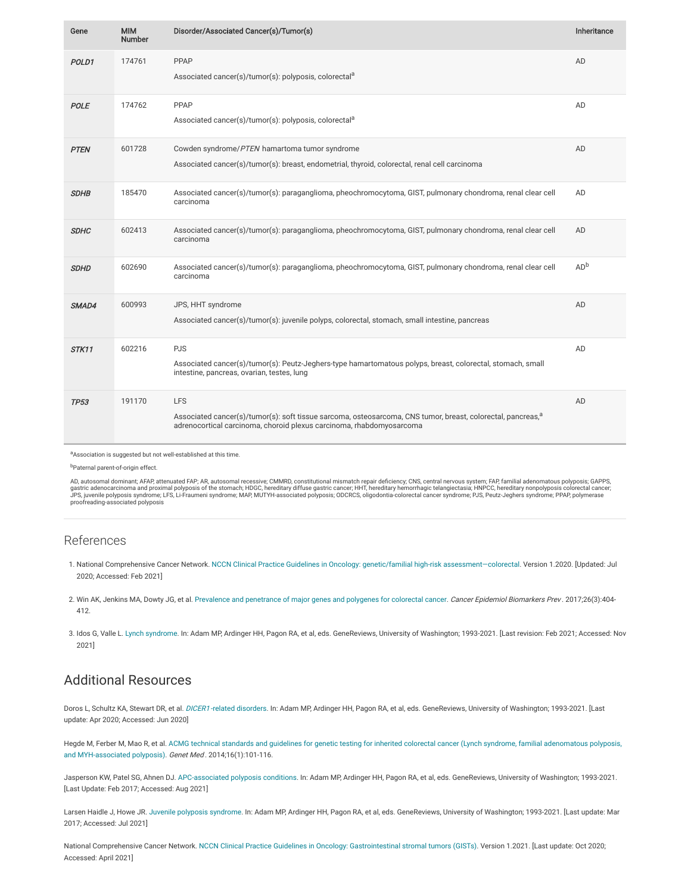| Gene        | <b>MIM</b><br>Number | Disorder/Associated Cancer(s)/Tumor(s)                                                                                                                                                                        | Inheritance     |
|-------------|----------------------|---------------------------------------------------------------------------------------------------------------------------------------------------------------------------------------------------------------|-----------------|
| POLD1       | 174761               | PPAP<br>Associated cancer(s)/tumor(s): polyposis, colorectal <sup>a</sup>                                                                                                                                     | AD              |
| POLE        | 174762               | PPAP<br>Associated cancer(s)/tumor(s): polyposis, colorectal <sup>a</sup>                                                                                                                                     | AD              |
| <b>PTEN</b> | 601728               | Cowden syndrome/PTEN hamartoma tumor syndrome<br>Associated cancer(s)/tumor(s): breast, endometrial, thyroid, colorectal, renal cell carcinoma                                                                | AD              |
| <b>SDHB</b> | 185470               | Associated cancer(s)/tumor(s): paraganglioma, pheochromocytoma, GIST, pulmonary chondroma, renal clear cell<br>carcinoma                                                                                      | AD              |
| <b>SDHC</b> | 602413               | Associated cancer(s)/tumor(s): paraganglioma, pheochromocytoma, GIST, pulmonary chondroma, renal clear cell<br>carcinoma                                                                                      | AD              |
| <b>SDHD</b> | 602690               | Associated cancer(s)/tumor(s): paraganglioma, pheochromocytoma, GIST, pulmonary chondroma, renal clear cell<br>carcinoma                                                                                      | AD <sup>b</sup> |
| SMAD4       | 600993               | JPS, HHT syndrome<br>Associated cancer(s)/tumor(s): juvenile polyps, colorectal, stomach, small intestine, pancreas                                                                                           | AD              |
| STK11       | 602216               | <b>PJS</b><br>Associated cancer(s)/tumor(s): Peutz-Jeghers-type hamartomatous polyps, breast, colorectal, stomach, small<br>intestine, pancreas, ovarian, testes, lung                                        | AD              |
| <b>TP53</b> | 191170               | <b>LFS</b><br>Associated cancer(s)/tumor(s): soft tissue sarcoma, osteosarcoma, CNS tumor, breast, colorectal, pancreas, <sup>a</sup><br>adrenocortical carcinoma, choroid plexus carcinoma, rhabdomyosarcoma | AD              |

a Association is suggested but not well-established at this time.

b<sub>Paternal parent-of-origin effect.</sub>

AD, autosomal dominant; AFAP, attenuated FAP; AR, autosomal recessive; CMMRD, constitutional mismatch repair deficiency; CNS, central nervous system; FAP, familial adenomatous polyposis; GAPPS,<br>gastric adenocarcinoma and p proofreading-associated polyposis

### References

- <span id="page-3-0"></span>1. National Comprehensive Cancer Network. NCCN Clinical Practice Guidelines in Oncology: genetic/familial high-risk [assessment—colorectal.](https://www.nccn.org/professionals/physician_gls/default.aspx) Version 1.2020. [Updated: Jul 2020; Accessed: Feb 2021]
- <span id="page-3-1"></span>2. Win AK, Jenkins MA, Dowty JG, et al. Prevalence and [penetrance](https://pubmed.ncbi.nlm.nih.gov/27799157/) of major genes and polygenes for colorectal cancer. Cancer Epidemiol Biomarkers Prev. 2017;26(3):404-412.
- <span id="page-3-2"></span>3. Idos G, Valle L. Lynch [syndrome](https://www.ncbi.nlm.nih.gov/books/NBK1211/). In: Adam MP, Ardinger HH, Pagon RA, et al, eds. GeneReviews, University of Washington; 1993-2021. [Last revision: Feb 2021; Accessed: Nov 2021]

### Additional Resources

Doros L, Schultz KA, Stewart DR, et al. DICER1-related [disorders.](https://www.ncbi.nlm.nih.gov/books/NBK196157/) In: Adam MP, Ardinger HH, Pagon RA, et al, eds. GeneReviews, University of Washington; 1993-2021. [Last update: Apr 2020; Accessed: Jun 2020]

Hegde M, Ferber M, Mao R, et al. ACMG technical standards and guidelines for genetic testing for inherited colorectal cancer (Lynch syndrome, familial adenomatous polyposis, and MYH-associated polyposis). Genet Med . [2014;16\(1\):101-116.](https://www.ncbi.nlm.nih.gov/pubmed/24310308)

Jasperson KW, Patel SG, Ahnen DJ. [APC-associated](https://www.ncbi.nlm.nih.gov/books/NBK1345/) polyposis conditions. In: Adam MP, Ardinger HH, Pagon RA, et al, eds. GeneReviews, University of Washington; 1993-2021. [Last Update: Feb 2017; Accessed: Aug 2021]

Larsen Haidle J, Howe JR. Juvenile polyposis [syndrome.](https://www.ncbi.nlm.nih.gov/books/NBK1469/) In: Adam MP, Ardinger HH, Pagon RA, et al, eds. GeneReviews, University of Washington; 1993-2021. [Last update: Mar 2017; Accessed: Jul 2021]

National Comprehensive Cancer Network. [NCCN](https://www.nccn.org/professionals/physician_gls/default.aspx) Clinical Practice [Guidelines](https://www.nccn.org/professionals/physician_gls/) in Oncology: [Gastrointestinal](https://www.nccn.org/professionals/physician_gls/default.aspx) stromal tumors (GISTs). Version 1.2021. [Last update: Oct 2020; Accessed: April 2021]